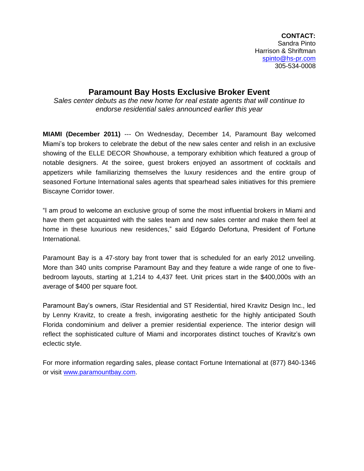**CONTACT:** Sandra Pinto Harrison & Shriftman [spinto@hs-pr.com](mailto:spinto@hs-pr.com) 305-534-0008

## **Paramount Bay Hosts Exclusive Broker Event**

*Sales center debuts as the new home for real estate agents that will continue to endorse residential sales announced earlier this year* 

**MIAMI (December 2011)** --- On Wednesday, December 14, Paramount Bay welcomed Miami's top brokers to celebrate the debut of the new sales center and relish in an exclusive showing of the ELLE DECOR Showhouse, a temporary exhibition which featured a group of notable designers. At the soiree, guest brokers enjoyed an assortment of cocktails and appetizers while familiarizing themselves the luxury residences and the entire group of seasoned Fortune International sales agents that spearhead sales initiatives for this premiere Biscayne Corridor tower.

"I am proud to welcome an exclusive group of some the most influential brokers in Miami and have them get acquainted with the sales team and new sales center and make them feel at home in these luxurious new residences," said Edgardo Defortuna, President of Fortune International.

Paramount Bay is a 47-story bay front tower that is scheduled for an early 2012 unveiling. More than 340 units comprise Paramount Bay and they feature a wide range of one to fivebedroom layouts, starting at 1,214 to 4,437 feet. Unit prices start in the \$400,000s with an average of \$400 per square foot.

Paramount Bay's owners, iStar Residential and ST Residential, hired Kravitz Design Inc., led by Lenny Kravitz, to create a fresh, invigorating aesthetic for the highly anticipated South Florida condominium and deliver a premier residential experience. The interior design will reflect the sophisticated culture of Miami and incorporates distinct touches of Kravitz's own eclectic style.

For more information regarding sales, please contact Fortune International at (877) 840-1346 or visit [www.paramountbay.com.](http://www.paramountbay.com/)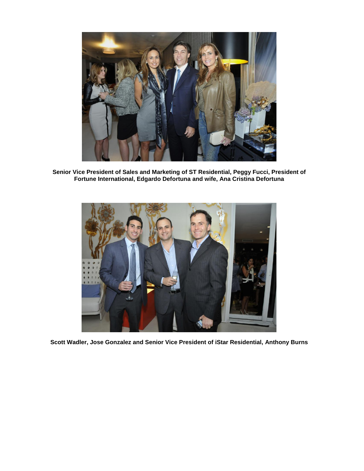

**Senior Vice President of Sales and Marketing of ST Residential, Peggy Fucci, President of Fortune International, Edgardo Defortuna and wife, Ana Cristina Defortuna**



**Scott Wadler, Jose Gonzalez and Senior Vice President of iStar Residential, Anthony Burns**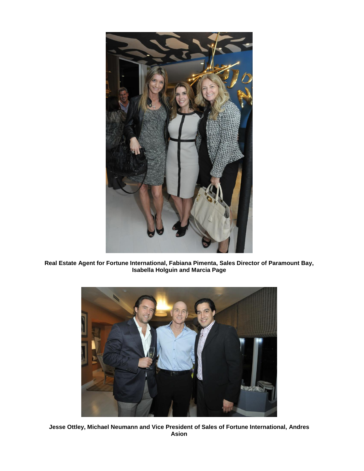

**Real Estate Agent for Fortune International, Fabiana Pimenta, Sales Director of Paramount Bay, Isabella Holguin and Marcia Page**



**Jesse Ottley, Michael Neumann and Vice President of Sales of Fortune International, Andres Asion**